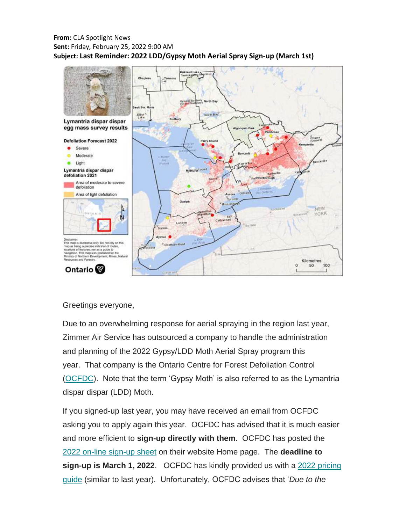### **From:** CLA Spotlight News **Sent:** Friday, February 25, 2022 9:00 AM **Subject: Last Reminder: 2022 LDD/Gypsy Moth Aerial Spray Sign-up (March 1st)**



Greetings everyone,

Due to an overwhelming response for aerial spraying in the region last year, Zimmer Air Service has outsourced a company to handle the administration and planning of the 2022 Gypsy/LDD Moth Aerial Spray program this year. That company is the Ontario Centre for Forest Defoliation Control [\(OCFDC\)](https://christielakeassociation.us15.list-manage.com/track/click?u=def4b76ef8495697caef646fb&id=0692ab2392&e=a75521f500). Note that the term 'Gypsy Moth' is also referred to as the Lymantria dispar dispar (LDD) Moth.

If you signed-up last year, you may have received an email from OCFDC asking you to apply again this year. OCFDC has advised that it is much easier and more efficient to **sign-up directly with them**. OCFDC has posted the [2022 on-line sign-up sheet](https://christielakeassociation.us15.list-manage.com/track/click?u=def4b76ef8495697caef646fb&id=69da2c3abd&e=a75521f500) on their website Home page. The **deadline to sign-up is March 1, 2022**. OCFDC has kindly provided us with a [2022 pricing](https://christielakeassociation.us15.list-manage.com/track/click?u=def4b76ef8495697caef646fb&id=5fe879cb35&e=a75521f500)  [guide](https://christielakeassociation.us15.list-manage.com/track/click?u=def4b76ef8495697caef646fb&id=5fe879cb35&e=a75521f500) (similar to last year). Unfortunately, OCFDC advises that '*Due to the*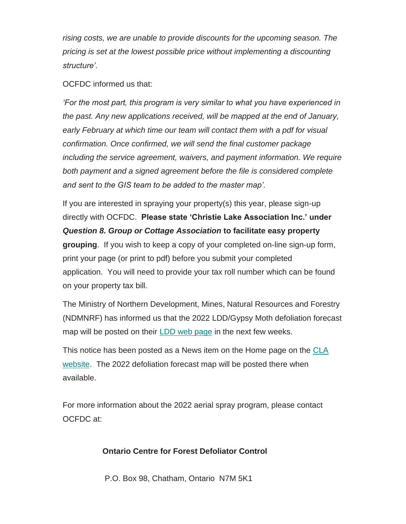*rising costs, we are unable to provide discounts for the upcoming season. The pricing is set at the lowest possible price without implementing a discounting structure'.*

## OCFDC informed us that:

*'For the most part, this program is very similar to what you have experienced in the past. Any new applications received, will be mapped at the end of January, early February at which time our team will contact them with a pdf for visual confirmation. Once confirmed, we will send the final customer package including the service agreement, waivers, and payment information. We require both payment and a signed agreement before the file is considered complete and sent to the GIS team to be added to the master map'.*

If you are interested in spraying your property(s) this year, please sign-up directly with OCFDC. **Please state 'Christie Lake Association Inc.' under**  *Question 8. Group or Cottage Association* **to facilitate easy property grouping**. If you wish to keep a copy of your completed on-line sign-up form, print your page (or print to pdf) before you submit your completed application. You will need to provide your tax roll number which can be found on your property tax bill.

The Ministry of Northern Development, Mines, Natural Resources and Forestry (NDMNRF) has informed us that the 2022 LDD/Gypsy Moth defoliation forecast map will be posted on their [LDD web page](https://christielakeassociation.us15.list-manage.com/track/click?u=def4b76ef8495697caef646fb&id=d808864a5b&e=a75521f500) in the next few weeks.

This notice has been posted as a News item on the Home page on the [CLA](https://christielakeassociation.us15.list-manage.com/track/click?u=def4b76ef8495697caef646fb&id=93654c7b23&e=a75521f500)  [website.](https://christielakeassociation.us15.list-manage.com/track/click?u=def4b76ef8495697caef646fb&id=93654c7b23&e=a75521f500) The 2022 defoliation forecast map will be posted there when available.

For more information about the 2022 aerial spray program, please contact OCFDC at:

# **Ontario Centre for Forest Defoliator Control**

P.O. Box 98, Chatham, Ontario N7M 5K1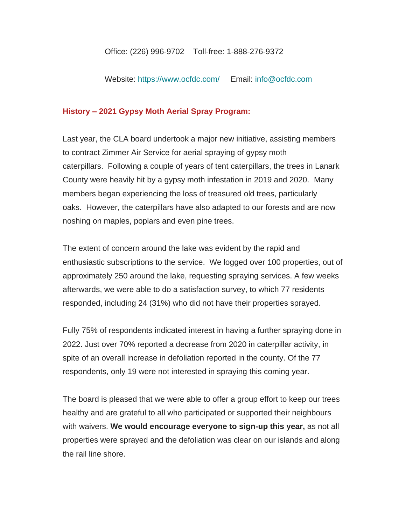#### Office: (226) 996-9702 Toll-free: 1-888-276-9372

Website: [https://www.ocfdc.com/](https://christielakeassociation.us15.list-manage.com/track/click?u=def4b76ef8495697caef646fb&id=6594256267&e=a75521f500) Email: [info@ocfdc.com](mailto:info@ocfdc.com)

## **History – 2021 Gypsy Moth Aerial Spray Program:**

Last year, the CLA board undertook a major new initiative, assisting members to contract Zimmer Air Service for aerial spraying of gypsy moth caterpillars. Following a couple of years of tent caterpillars, the trees in Lanark County were heavily hit by a gypsy moth infestation in 2019 and 2020. Many members began experiencing the loss of treasured old trees, particularly oaks. However, the caterpillars have also adapted to our forests and are now noshing on maples, poplars and even pine trees.

The extent of concern around the lake was evident by the rapid and enthusiastic subscriptions to the service. We logged over 100 properties, out of approximately 250 around the lake, requesting spraying services. A few weeks afterwards, we were able to do a satisfaction survey, to which 77 residents responded, including 24 (31%) who did not have their properties sprayed.

Fully 75% of respondents indicated interest in having a further spraying done in 2022. Just over 70% reported a decrease from 2020 in caterpillar activity, in spite of an overall increase in defoliation reported in the county. Of the 77 respondents, only 19 were not interested in spraying this coming year.

The board is pleased that we were able to offer a group effort to keep our trees healthy and are grateful to all who participated or supported their neighbours with waivers. **We would encourage everyone to sign-up this year,** as not all properties were sprayed and the defoliation was clear on our islands and along the rail line shore.